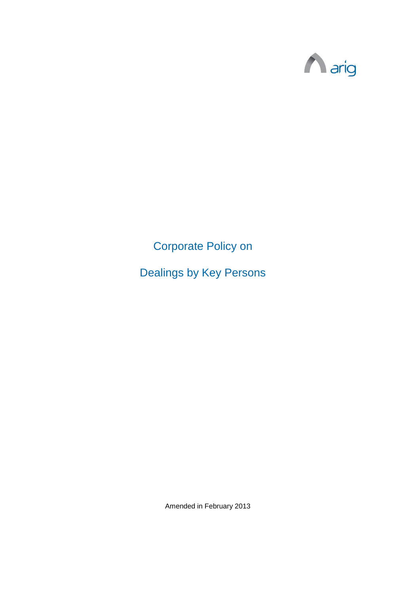

Corporate Policy on

Dealings by Key Persons

Amended in February 2013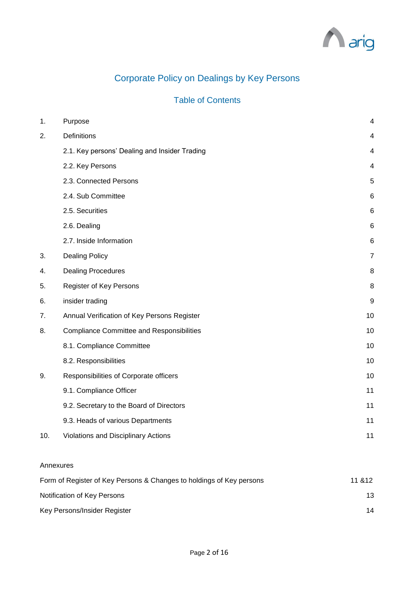

# Corporate Policy on Dealings by Key Persons

# Table of Contents

| 1.  | Purpose                                          | $\overline{4}$  |
|-----|--------------------------------------------------|-----------------|
| 2.  | <b>Definitions</b>                               | 4               |
|     | 2.1. Key persons' Dealing and Insider Trading    | $\overline{4}$  |
|     | 2.2. Key Persons                                 | 4               |
|     | 2.3. Connected Persons                           | 5               |
|     | 2.4. Sub Committee                               | 6               |
|     | 2.5. Securities                                  | $6\phantom{1}6$ |
|     | 2.6. Dealing                                     | 6               |
|     | 2.7. Inside Information                          | 6               |
| 3.  | <b>Dealing Policy</b>                            | $\overline{7}$  |
| 4.  | <b>Dealing Procedures</b>                        | 8               |
| 5.  | Register of Key Persons                          | 8               |
| 6.  | insider trading                                  | 9               |
| 7.  | Annual Verification of Key Persons Register      | 10              |
| 8.  | <b>Compliance Committee and Responsibilities</b> | 10              |
|     | 8.1. Compliance Committee                        | 10              |
|     | 8.2. Responsibilities                            | 10              |
| 9.  | Responsibilities of Corporate officers           | 10              |
|     | 9.1. Compliance Officer                          | 11              |
|     | 9.2. Secretary to the Board of Directors         | 11              |
|     | 9.3. Heads of various Departments                | 11              |
| 10. | Violations and Disciplinary Actions              | 11              |
|     |                                                  |                 |

#### Annexures

| Form of Register of Key Persons & Changes to holdings of Key persons | 11 & 12 |
|----------------------------------------------------------------------|---------|
| Notification of Key Persons                                          | 13      |
| Key Persons/Insider Register                                         | 14      |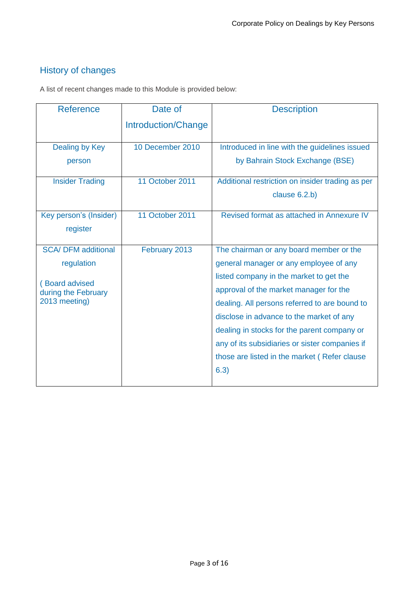# History of changes

A list of recent changes made to this Module is provided below:

| <b>Reference</b>                      | Date of             | <b>Description</b>                               |
|---------------------------------------|---------------------|--------------------------------------------------|
|                                       | Introduction/Change |                                                  |
| Dealing by Key                        | 10 December 2010    | Introduced in line with the guidelines issued    |
| person                                |                     | by Bahrain Stock Exchange (BSE)                  |
| <b>Insider Trading</b>                | 11 October 2011     | Additional restriction on insider trading as per |
|                                       |                     | clause 6.2.b)                                    |
| Key person's (Insider)                | 11 October 2011     | Revised format as attached in Annexure IV        |
| register                              |                     |                                                  |
| <b>SCA/ DFM additional</b>            | February 2013       | The chairman or any board member or the          |
| regulation                            |                     | general manager or any employee of any           |
|                                       |                     | listed company in the market to get the          |
| (Board advised<br>during the February |                     | approval of the market manager for the           |
| 2013 meeting)                         |                     | dealing. All persons referred to are bound to    |
|                                       |                     | disclose in advance to the market of any         |
|                                       |                     | dealing in stocks for the parent company or      |
|                                       |                     | any of its subsidiaries or sister companies if   |
|                                       |                     | those are listed in the market (Refer clause     |
|                                       |                     | 6.3)                                             |
|                                       |                     |                                                  |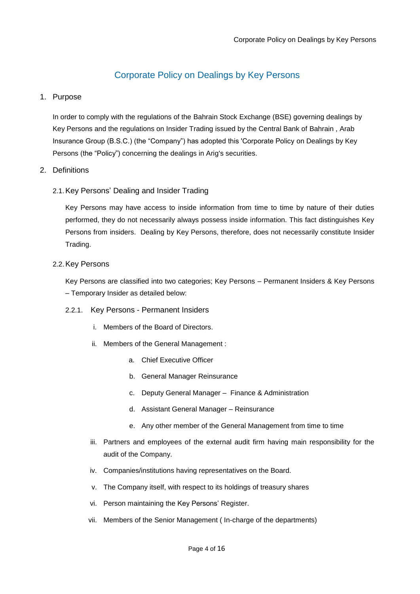# Corporate Policy on Dealings by Key Persons

# <span id="page-3-0"></span>1. Purpose

In order to comply with the regulations of the Bahrain Stock Exchange (BSE) governing dealings by Key Persons and the regulations on Insider Trading issued by the Central Bank of Bahrain , Arab Insurance Group (B.S.C.) (the "Company") has adopted this 'Corporate Policy on Dealings by Key Persons (the "Policy") concerning the dealings in Arig's securities.

# <span id="page-3-1"></span>2. Definitions

# <span id="page-3-2"></span>2.1.Key Persons' Dealing and Insider Trading

Key Persons may have access to inside information from time to time by nature of their duties performed, they do not necessarily always possess inside information. This fact distinguishes Key Persons from insiders. Dealing by Key Persons, therefore, does not necessarily constitute Insider Trading.

### <span id="page-3-3"></span>2.2.Key Persons

Key Persons are classified into two categories; Key Persons – Permanent Insiders & Key Persons – Temporary Insider as detailed below:

### 2.2.1. Key Persons - Permanent Insiders

- i. Members of the Board of Directors.
- ii. Members of the General Management :
	- a. Chief Executive Officer
	- b. General Manager Reinsurance
	- c. Deputy General Manager Finance & Administration
	- d. Assistant General Manager Reinsurance
	- e. Any other member of the General Management from time to time
- iii. Partners and employees of the external audit firm having main responsibility for the audit of the Company.
- iv. Companies/institutions having representatives on the Board.
- v. The Company itself, with respect to its holdings of treasury shares
- vi. Person maintaining the Key Persons' Register.
- vii. Members of the Senior Management ( In-charge of the departments)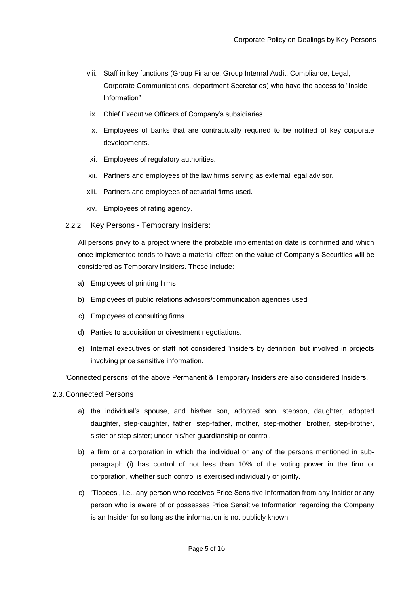- viii. Staff in key functions (Group Finance, Group Internal Audit, Compliance, Legal, Corporate Communications, department Secretaries) who have the access to "Inside Information"
- ix. Chief Executive Officers of Company's subsidiaries.
- x. Employees of banks that are contractually required to be notified of key corporate developments.
- xi. Employees of regulatory authorities.
- xii. Partners and employees of the law firms serving as external legal advisor.
- xiii. Partners and employees of actuarial firms used.
- xiv. Employees of rating agency.
- 2.2.2. Key Persons Temporary Insiders:

All persons privy to a project where the probable implementation date is confirmed and which once implemented tends to have a material effect on the value of Company's Securities will be considered as Temporary Insiders. These include:

- a) Employees of printing firms
- b) Employees of public relations advisors/communication agencies used
- c) Employees of consulting firms.
- d) Parties to acquisition or divestment negotiations.
- e) Internal executives or staff not considered 'insiders by definition' but involved in projects involving price sensitive information.

'Connected persons' of the above Permanent & Temporary Insiders are also considered Insiders.

#### <span id="page-4-0"></span>2.3.Connected Persons

- a) the individual's spouse, and his/her son, adopted son, stepson, daughter, adopted daughter, step-daughter, father, step-father, mother, step-mother, brother, step-brother, sister or step-sister; under his/her guardianship or control.
- b) a firm or a corporation in which the individual or any of the persons mentioned in subparagraph (i) has control of not less than 10% of the voting power in the firm or corporation, whether such control is exercised individually or jointly.
- c) 'Tippees', i.e., any person who receives Price Sensitive Information from any Insider or any person who is aware of or possesses Price Sensitive Information regarding the Company is an Insider for so long as the information is not publicly known.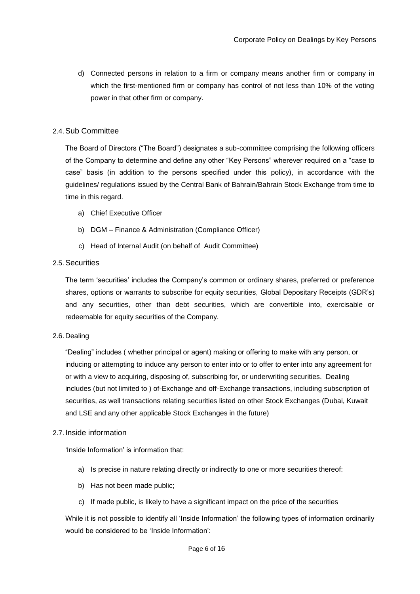d) Connected persons in relation to a firm or company means another firm or company in which the first-mentioned firm or company has control of not less than 10% of the voting power in that other firm or company.

## <span id="page-5-0"></span>2.4.Sub Committee

The Board of Directors ("The Board") designates a sub-committee comprising the following officers of the Company to determine and define any other "Key Persons" wherever required on a "case to case" basis (in addition to the persons specified under this policy), in accordance with the guidelines/ regulations issued by the Central Bank of Bahrain/Bahrain Stock Exchange from time to time in this regard.

- a) Chief Executive Officer
- b) DGM Finance & Administration (Compliance Officer)
- c) Head of Internal Audit (on behalf of Audit Committee)

#### <span id="page-5-1"></span>2.5.Securities

The term 'securities' includes the Company's common or ordinary shares, preferred or preference shares, options or warrants to subscribe for equity securities, Global Depositary Receipts (GDR's) and any securities, other than debt securities, which are convertible into, exercisable or redeemable for equity securities of the Company.

#### <span id="page-5-2"></span>2.6. Dealing

"Dealing" includes ( whether principal or agent) making or offering to make with any person, or inducing or attempting to induce any person to enter into or to offer to enter into any agreement for or with a view to acquiring, disposing of, subscribing for, or underwriting securities. Dealing includes (but not limited to ) of-Exchange and off-Exchange transactions, including subscription of securities, as well transactions relating securities listed on other Stock Exchanges (Dubai, Kuwait and LSE and any other applicable Stock Exchanges in the future)

### <span id="page-5-3"></span>2.7. Inside information

'Inside Information' is information that:

- a) Is precise in nature relating directly or indirectly to one or more securities thereof:
- b) Has not been made public;
- c) If made public, is likely to have a significant impact on the price of the securities

While it is not possible to identify all 'Inside Information' the following types of information ordinarily would be considered to be 'Inside Information':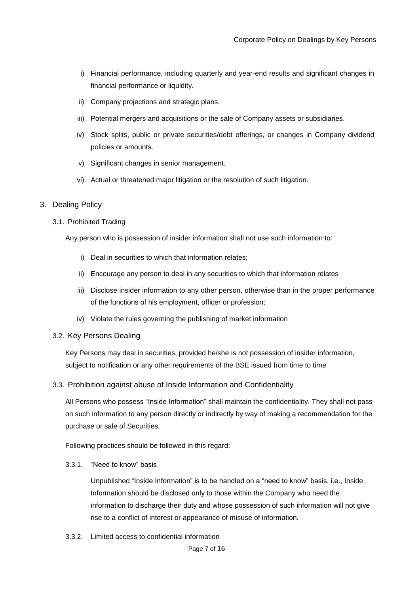- i) Financial performance, including quarterly and year-end results and significant changes in financial performance or liquidity.
- ii) Company projections and strategic plans.
- iii) Potential mergers and acquisitions or the sale of Company assets or subsidiaries.
- iv) Stock splits, public or private securities/debt offerings, or changes in Company dividend policies or amounts.
- v) Significant changes in senior management.
- vi) Actual or threatened major litigation or the resolution of such litigation.

#### <span id="page-6-0"></span>3. Dealing Policy

3.1. Prohibited Trading

Any person who is possession of insider information shall not use such information to:

- i) Deal in securities to which that information relates;
- ii) Encourage any person to deal in any securities to which that information relates
- iii) Disclose insider information to any other person, otherwise than in the proper performance of the functions of his employment, officer or profession;
- iv) Violate the rules governing the publishing of market information

#### 3.2. Key Persons Dealing

Key Persons may deal in securities, provided he/she is not possession of insider information, subject to notification or any other requirements of the BSE issued from time to time

### 3.3. Prohibition against abuse of Inside Information and Confidentiality

All Persons who possess "Inside Information" shall maintain the confidentiality. They shall not pass on such information to any person directly or indirectly by way of making a recommendation for the purchase or sale of Securities.

Following practices should be followed in this regard:

3.3.1. "Need to know" basis

Unpublished "Inside Information" is to be handled on a "need to know" basis, i.e., Inside Information should be disclosed only to those within the Company who need the information to discharge their duty and whose possession of such information will not give rise to a conflict of interest or appearance of misuse of information.

3.3.2. Limited access to confidential information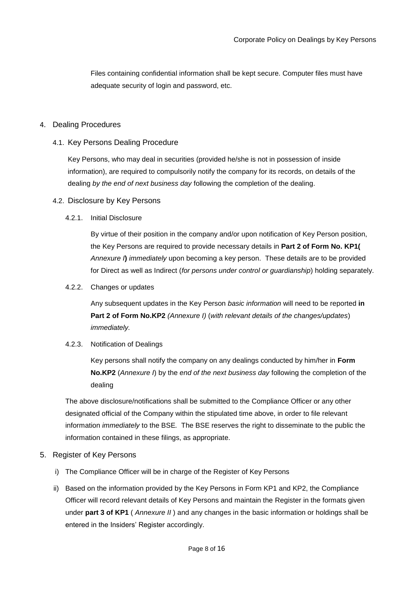Files containing confidential information shall be kept secure. Computer files must have adequate security of login and password, etc.

### <span id="page-7-0"></span>4. Dealing Procedures

### 4.1. Key Persons Dealing Procedure

Key Persons, who may deal in securities (provided he/she is not in possession of inside information), are required to compulsorily notify the company for its records, on details of the dealing *by the end of next business day* following the completion of the dealing.

#### 4.2. Disclosure by Key Persons

#### 4.2.1. Initial Disclosure

By virtue of their position in the company and/or upon notification of Key Person position, the Key Persons are required to provide necessary details in **Part 2 of Form No. KP1(**  *Annexure I***)** *immediately* upon becoming a key person. These details are to be provided for Direct as well as Indirect (*for persons under control or guardianship*) holding separately.

4.2.2. Changes or updates

Any subsequent updates in the Key Person *basic information* will need to be reported **in Part 2 of Form No.KP2** *(Annexure I)* (*with relevant details of the changes/updates*) *immediately.*

#### 4.2.3. Notification of Dealings

Key persons shall notify the company on any dealings conducted by him/her in **Form No.KP2** (*Annexure I*) by the *end of the next business day* following the completion of the dealing

The above disclosure/notifications shall be submitted to the Compliance Officer or any other designated official of the Company within the stipulated time above, in order to file relevant information *immediately* to the BSE*.* The BSE reserves the right to disseminate to the public the information contained in these filings, as appropriate.

### <span id="page-7-1"></span>5. Register of Key Persons

- i) The Compliance Officer will be in charge of the Register of Key Persons
- ii) Based on the information provided by the Key Persons in Form KP1 and KP2, the Compliance Officer will record relevant details of Key Persons and maintain the Register in the formats given under **part 3 of KP1** ( *Annexure II* ) and any changes in the basic information or holdings shall be entered in the Insiders' Register accordingly.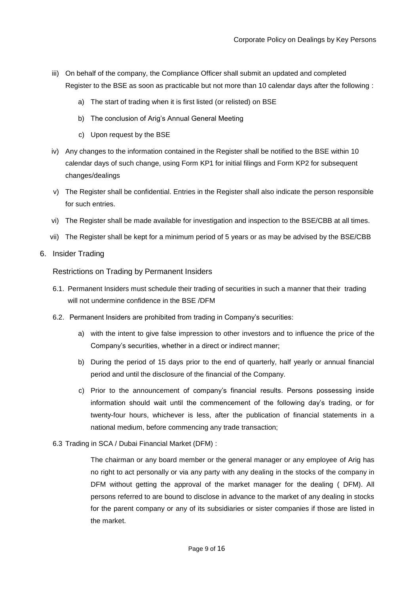- iii) On behalf of the company, the Compliance Officer shall submit an updated and completed Register to the BSE as soon as practicable but not more than 10 calendar days after the following :
	- a) The start of trading when it is first listed (or relisted) on BSE
	- b) The conclusion of Arig's Annual General Meeting
	- c) Upon request by the BSE
- iv) Any changes to the information contained in the Register shall be notified to the BSE within 10 calendar days of such change, using Form KP1 for initial filings and Form KP2 for subsequent changes/dealings
- v) The Register shall be confidential. Entries in the Register shall also indicate the person responsible for such entries.
- vi) The Register shall be made available for investigation and inspection to the BSE/CBB at all times.
- vii) The Register shall be kept for a minimum period of 5 years or as may be advised by the BSE/CBB
- <span id="page-8-0"></span>6. Insider Trading

Restrictions on Trading by Permanent Insiders

- 6.1. Permanent Insiders must schedule their trading of securities in such a manner that their trading will not undermine confidence in the BSE /DFM
- 6.2. Permanent Insiders are prohibited from trading in Company's securities:
	- a) with the intent to give false impression to other investors and to influence the price of the Company's securities, whether in a direct or indirect manner;
	- b) During the period of 15 days prior to the end of quarterly, half yearly or annual financial period and until the disclosure of the financial of the Company.
	- c) Prior to the announcement of company's financial results. Persons possessing inside information should wait until the commencement of the following day's trading, or for twenty-four hours, whichever is less, after the publication of financial statements in a national medium, before commencing any trade transaction;
- 6.3 Trading in SCA / Dubai Financial Market (DFM) :

The chairman or any board member or the general manager or any employee of Arig has no right to act personally or via any party with any dealing in the stocks of the company in DFM without getting the approval of the market manager for the dealing ( DFM). All persons referred to are bound to disclose in advance to the market of any dealing in stocks for the parent company or any of its subsidiaries or sister companies if those are listed in the market.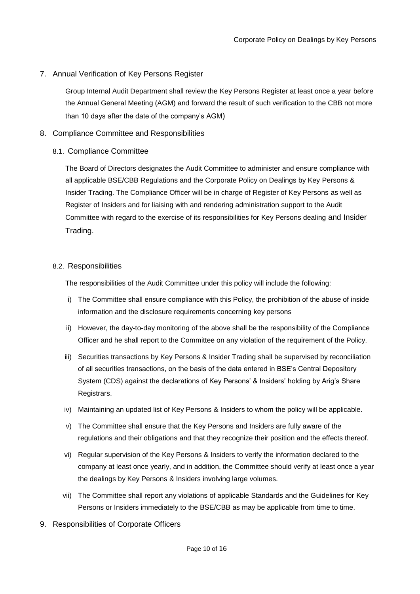### <span id="page-9-0"></span>7. Annual Verification of Key Persons Register

Group Internal Audit Department shall review the Key Persons Register at least once a year before the Annual General Meeting (AGM) and forward the result of such verification to the CBB not more than 10 days after the date of the company's AGM)

## <span id="page-9-1"></span>8. Compliance Committee and Responsibilities

### <span id="page-9-2"></span>8.1. Compliance Committee

The Board of Directors designates the Audit Committee to administer and ensure compliance with all applicable BSE/CBB Regulations and the Corporate Policy on Dealings by Key Persons & Insider Trading. The Compliance Officer will be in charge of Register of Key Persons as well as Register of Insiders and for liaising with and rendering administration support to the Audit Committee with regard to the exercise of its responsibilities for Key Persons dealing and Insider Trading.

### <span id="page-9-3"></span>8.2. Responsibilities

The responsibilities of the Audit Committee under this policy will include the following:

- i) The Committee shall ensure compliance with this Policy, the prohibition of the abuse of inside information and the disclosure requirements concerning key persons
- ii) However, the day-to-day monitoring of the above shall be the responsibility of the Compliance Officer and he shall report to the Committee on any violation of the requirement of the Policy.
- iii) Securities transactions by Key Persons & Insider Trading shall be supervised by reconciliation of all securities transactions, on the basis of the data entered in BSE's Central Depository System (CDS) against the declarations of Key Persons' & Insiders' holding by Arig's Share Registrars.
- iv) Maintaining an updated list of Key Persons & Insiders to whom the policy will be applicable.
- v) The Committee shall ensure that the Key Persons and Insiders are fully aware of the regulations and their obligations and that they recognize their position and the effects thereof.
- vi) Regular supervision of the Key Persons & Insiders to verify the information declared to the company at least once yearly, and in addition, the Committee should verify at least once a year the dealings by Key Persons & Insiders involving large volumes.
- vii) The Committee shall report any violations of applicable Standards and the Guidelines for Key Persons or Insiders immediately to the BSE/CBB as may be applicable from time to time.
- <span id="page-9-4"></span>9. Responsibilities of Corporate Officers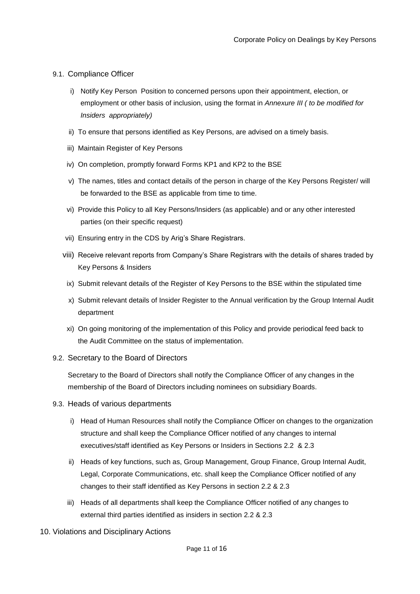#### <span id="page-10-0"></span>9.1. Compliance Officer

- i) Notify Key Person Position to concerned persons upon their appointment, election, or employment or other basis of inclusion, using the format in *Annexure III ( to be modified for Insiders appropriately)*
- ii) To ensure that persons identified as Key Persons, are advised on a timely basis.
- iii) Maintain Register of Key Persons
- iv) On completion, promptly forward Forms KP1 and KP2 to the BSE
- v) The names, titles and contact details of the person in charge of the Key Persons Register/ will be forwarded to the BSE as applicable from time to time.
- vi) Provide this Policy to all Key Persons/Insiders (as applicable) and or any other interested parties (on their specific request)
- vii) Ensuring entry in the CDS by Arig's Share Registrars.
- viii) Receive relevant reports from Company's Share Registrars with the details of shares traded by Key Persons & Insiders
- ix) Submit relevant details of the Register of Key Persons to the BSE within the stipulated time
- x) Submit relevant details of Insider Register to the Annual verification by the Group Internal Audit department
- xi) On going monitoring of the implementation of this Policy and provide periodical feed back to the Audit Committee on the status of implementation.

### <span id="page-10-1"></span>9.2. Secretary to the Board of Directors

Secretary to the Board of Directors shall notify the Compliance Officer of any changes in the membership of the Board of Directors including nominees on subsidiary Boards.

- <span id="page-10-2"></span>9.3. Heads of various departments
	- i) Head of Human Resources shall notify the Compliance Officer on changes to the organization structure and shall keep the Compliance Officer notified of any changes to internal executives/staff identified as Key Persons or Insiders in Sections 2.2 & 2.3
	- ii) Heads of key functions, such as, Group Management, Group Finance, Group Internal Audit, Legal, Corporate Communications, etc. shall keep the Compliance Officer notified of any changes to their staff identified as Key Persons in section 2.2 & 2.3
	- iii) Heads of all departments shall keep the Compliance Officer notified of any changes to external third parties identified as insiders in section 2.2 & 2.3
- <span id="page-10-3"></span>10. Violations and Disciplinary Actions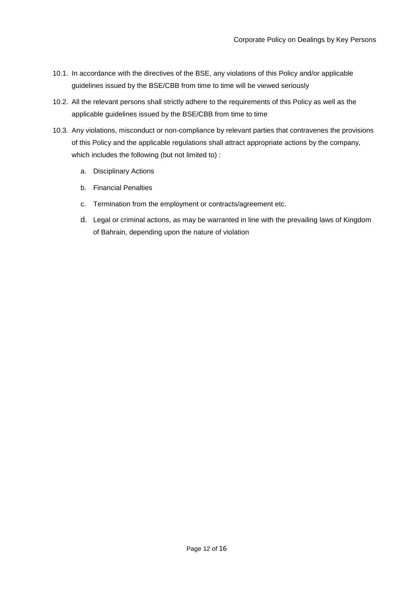- 10.1. In accordance with the directives of the BSE, any violations of this Policy and/or applicable guidelines issued by the BSE/CBB from time to time will be viewed seriously
- 10.2. All the relevant persons shall strictly adhere to the requirements of this Policy as well as the applicable guidelines issued by the BSE/CBB from time to time
- 10.3. Any violations, misconduct or non-compliance by relevant parties that contravenes the provisions of this Policy and the applicable regulations shall attract appropriate actions by the company, which includes the following (but not limited to) :
	- a. Disciplinary Actions
	- b. Financial Penalties
	- c. Termination from the employment or contracts/agreement etc.
	- d. Legal or criminal actions, as may be warranted in line with the prevailing laws of Kingdom of Bahrain, depending upon the nature of violation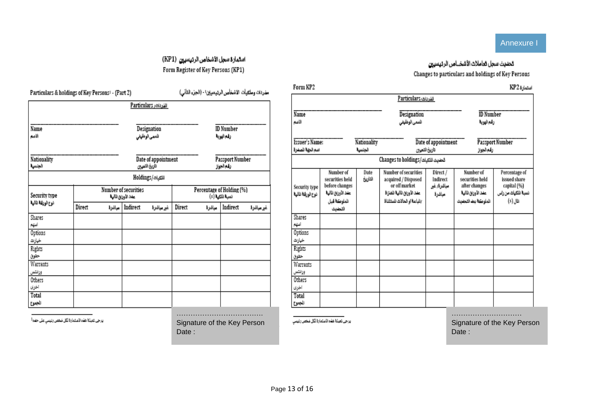# Annexure I

# استمارة سجل الأشخاص الرئيسيين (KP1) Form Register of Key Persons (KP1)

| Particulars & holdings of Key Persons! - (Part 2) |        |                                              | مفردات وملكيات الأشخأص الرئيسيان! - (الجزء الثاني) |                                     |        |                                |          |            |  |
|---------------------------------------------------|--------|----------------------------------------------|----------------------------------------------------|-------------------------------------|--------|--------------------------------|----------|------------|--|
|                                                   |        |                                              |                                                    | الفردات Particulars                 |        |                                |          |            |  |
| Name<br>الأميم                                    |        |                                              | Designation<br>للسمى الوظيفى                       |                                     |        | <b>ID</b> Number<br>زفم الهوية |          |            |  |
| Nationality<br>الجنسية                            |        |                                              |                                                    | Date of appointment<br>داريخ التبين |        | Passport Number<br>رقم الجواز  |          |            |  |
|                                                   |        |                                              |                                                    | اللكيات/Holdings                    |        |                                |          |            |  |
| Security type                                     |        | Percentage of Holding (%)<br>نسبة اللكية (٪) |                                                    |                                     |        |                                |          |            |  |
| نوع الوزقة نالية                                  | Direct | مباشرة                                       | Indirect                                           | غير مباشرة                          | Direct | معاشرة                         | Indirect | غير مياشرة |  |
| Shares<br>أشهم                                    |        |                                              |                                                    |                                     |        |                                |          |            |  |
| Options<br>خيارت                                  |        |                                              |                                                    |                                     |        |                                |          |            |  |
| Rights<br>حقوق                                    |        |                                              |                                                    |                                     |        |                                |          |            |  |
| Warrants<br>وراثلتس                               |        |                                              |                                                    |                                     |        |                                |          |            |  |
| Others<br>اخرى                                    |        |                                              |                                                    |                                     |        |                                |          |            |  |
| Total<br>الجموخ                                   |        |                                              |                                                    |                                     |        |                                |          |            |  |

يرجى تعينة هذه الاستمارة لكل ضغص رتيسي على حده<sup>1</sup>

………………………………. Signature of the Key Person Date:

يرجى تعبلة هذه الاستمارة لكل شخص رنيسي

…………………………

Signature of the Key Person Date:

| تحديث سحل تعاملات الاشخــاص الرتيسيين              |
|----------------------------------------------------|
| Changes to particulars and holdings of Key Persons |

|                                                                      |                                                                                                |                 | للفرياك ,Particulars                                                                                                      |                                               |                                                                                            |                                                                                   |  |  |
|----------------------------------------------------------------------|------------------------------------------------------------------------------------------------|-----------------|---------------------------------------------------------------------------------------------------------------------------|-----------------------------------------------|--------------------------------------------------------------------------------------------|-----------------------------------------------------------------------------------|--|--|
|                                                                      |                                                                                                |                 |                                                                                                                           |                                               |                                                                                            |                                                                                   |  |  |
| Name<br>الأضم                                                        |                                                                                                |                 | Designation<br>للنمى الوظهفى                                                                                              |                                               | <b>ID</b> Number<br>زغم الهونة                                                             |                                                                                   |  |  |
| <b>Issuer's Name:</b><br>Nationality<br>الجلننية<br>اسم الحهة للصدرة |                                                                                                |                 | تاريخ التعين                                                                                                              | Date of appointment                           |                                                                                            | Passport Number<br>رفع الجواز                                                     |  |  |
|                                                                      |                                                                                                |                 | تحديث للتبات/Changes to holdings                                                                                          |                                               |                                                                                            |                                                                                   |  |  |
| Security type<br>نوع الورقة نالية                                    | Number of<br>securities held<br>before changes<br>عفد الأوراق لثالية<br>تلملوكة قبل<br>التجديث | Date<br>التاريخ | Number of securities<br>acquired / Disposed<br>or off market<br>عدد الأوران لثالية للفتراة<br>/الباعة او الحالات للستئناة | Direct /<br>Indirect<br>مباشرة/ غير<br>مباشرة | Number of<br>securities held<br>after changes<br>عدد الأوران لثالية<br>الملوطة ببد التجديث | Percentage of<br>issued share<br>capital (%)<br>نسبة للكيات من راس<br>$(t)$ , jii |  |  |
| Shares<br>أننهم                                                      |                                                                                                |                 |                                                                                                                           |                                               |                                                                                            |                                                                                   |  |  |
| Options<br>خيارات                                                    |                                                                                                |                 |                                                                                                                           |                                               |                                                                                            |                                                                                   |  |  |
| Rights<br>حقوق                                                       |                                                                                                |                 |                                                                                                                           |                                               |                                                                                            |                                                                                   |  |  |
| Warrants<br>وزائشن                                                   |                                                                                                |                 |                                                                                                                           |                                               |                                                                                            |                                                                                   |  |  |
| Others<br>اخرى                                                       |                                                                                                |                 |                                                                                                                           |                                               |                                                                                            |                                                                                   |  |  |
| Total<br>الجموع                                                      |                                                                                                |                 |                                                                                                                           |                                               |                                                                                            |                                                                                   |  |  |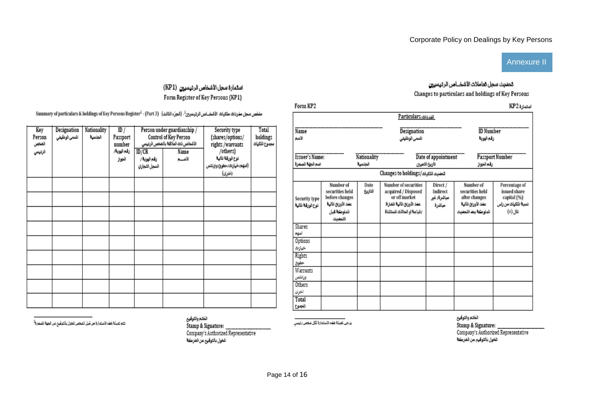## Annexure II

# تحديث سجل تعاملات الاشخــاص الرديسيين Changes to particulars and holdings of Key Persons

Form KP2

| Form KP2                                  |                                                                                                |                         |                                                                                                                                  |                                               |                                                                                            | استمارة KP2                                                                    |
|-------------------------------------------|------------------------------------------------------------------------------------------------|-------------------------|----------------------------------------------------------------------------------------------------------------------------------|-----------------------------------------------|--------------------------------------------------------------------------------------------|--------------------------------------------------------------------------------|
|                                           |                                                                                                |                         | القرنات,Particulars                                                                                                              |                                               |                                                                                            |                                                                                |
| Name<br>الأضم                             |                                                                                                |                         | Designation<br>للسمى الوظيفى                                                                                                     |                                               | <b>ID</b> Number<br>رقم الهوبة                                                             |                                                                                |
| <b>Issuer's Name:</b><br>اسم الجهة للصفرة |                                                                                                | Nationality<br>الجلنبية | Date of appointment<br>تاريخ التعين                                                                                              | Passport Number<br>رفع الجواز                 |                                                                                            |                                                                                |
|                                           |                                                                                                |                         | تحديث للتتيات/Changes to holdings                                                                                                |                                               |                                                                                            |                                                                                |
| Security type<br>نوع الورقة نالية         | Number of<br>securities held<br>before changes<br>عدد الأوران لثالية<br>الملوكة قبل<br>التحديث | Date<br>التاريخ         | <b>Number of securities</b><br>acquired / Disposed<br>or off market<br>عدد الأوران لثالية للفتراة<br>بالباعة او الحالات للستئناة | Direct /<br>Indirect<br>مباشرة/ غير<br>مباشرة | Number of<br>securities held<br>after changes<br>عدد الأوران لثالية<br>الملوطة بمه التجديث | Percentage of<br>issued share<br>capital (%)<br>نسبة للكياث من راس<br>(x) Jili |
| Shares<br>أغنهم                           |                                                                                                |                         |                                                                                                                                  |                                               |                                                                                            |                                                                                |
| Options<br>خيارات                         |                                                                                                |                         |                                                                                                                                  |                                               |                                                                                            |                                                                                |
| Rights<br>حقوق                            |                                                                                                |                         |                                                                                                                                  |                                               |                                                                                            |                                                                                |
| Warrants<br>ورائضن                        |                                                                                                |                         |                                                                                                                                  |                                               |                                                                                            |                                                                                |
| Others<br>اخرى                            |                                                                                                |                         |                                                                                                                                  |                                               |                                                                                            |                                                                                |
| Total<br>الجموع                           |                                                                                                |                         |                                                                                                                                  |                                               |                                                                                            |                                                                                |

ملخص سجل مفردات ملكيات الأشخــاص الرئيسيين<sup>2</sup>- (الجزء الثالث) ( Summary of particulars & holdings of Key Persons Register<sup>2</sup> ، (Part 3

استمارة سجل الأشخاص الرئيسيين (KP1)

Form Register of Key Persons (KP1)

| Designation<br>Key<br>السمى الوظيفي<br>الجلسية<br>Person<br>الفخص<br>الزئينيي |  | Nationality | ID /<br>Passport<br>number |                               | Person under guardianship /<br>Control of Key Person<br>الأشخاص ذات العلاقة بالضخص الرنيسي | Security type<br>(shares/options/<br>rights/warrants | Total<br>holdings<br>مجموع الملكهات |
|-------------------------------------------------------------------------------|--|-------------|----------------------------|-------------------------------|--------------------------------------------------------------------------------------------|------------------------------------------------------|-------------------------------------|
|                                                                               |  |             | رقم الهوية/                | ID/CR                         | Name                                                                                       | /others)                                             |                                     |
|                                                                               |  |             | الجواز                     | رقم اليوية /<br>السجل التجاري | الاصبم                                                                                     | نوع الورقة نالية<br>(اسهم/خيارات/حقوق/وارتتس         |                                     |
|                                                                               |  |             |                            |                               |                                                                                            | /اخرى)                                               |                                     |
|                                                                               |  |             |                            |                               |                                                                                            |                                                      |                                     |
|                                                                               |  |             |                            |                               |                                                                                            |                                                      |                                     |
|                                                                               |  |             |                            |                               |                                                                                            |                                                      |                                     |
|                                                                               |  |             |                            |                               |                                                                                            |                                                      |                                     |
|                                                                               |  |             |                            |                               |                                                                                            |                                                      |                                     |
|                                                                               |  |             |                            |                               |                                                                                            |                                                      |                                     |
|                                                                               |  |             |                            |                               |                                                                                            |                                                      |                                     |
|                                                                               |  |             |                            |                               |                                                                                            |                                                      |                                     |
|                                                                               |  |             |                            |                               |                                                                                            |                                                      |                                     |

انتم تعبئة هذه الاستعارة من قبل المخص الخول بالتوفيع عن الجهة الصدرة<sup>2</sup>

الختم والتوفيع الخول بالتوفيح عن الفرطة

يرجى تعيلة هذه الاستمارة لكل شخص رتيسي

الختم والثوفيع

الخول بالتوفيع عن الفركة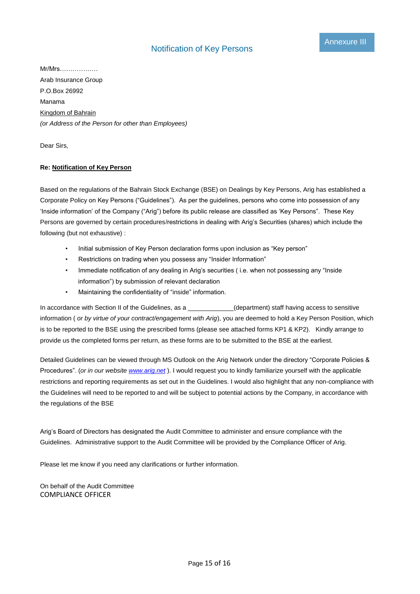Mr/Mrs……………… Arab Insurance Group P.O.Box 26992 Manama Kingdom of Bahrain *(or Address of the Person for other than Employees)*

Dear Sirs,

#### **Re: Notification of Key Person**

Based on the regulations of the Bahrain Stock Exchange (BSE) on Dealings by Key Persons, Arig has established a Corporate Policy on Key Persons ("Guidelines"). As per the guidelines, persons who come into possession of any 'Inside information' of the Company ("Arig") before its public release are classified as 'Key Persons". These Key Persons are governed by certain procedures/restrictions in dealing with Arig's Securities (shares) which include the following (but not exhaustive) :

- Initial submission of Key Person declaration forms upon inclusion as "Key person"
- Restrictions on trading when you possess any "Insider Information"
- Immediate notification of any dealing in Arig's securities ( i.e. when not possessing any "Inside information") by submission of relevant declaration
- Maintaining the confidentiality of "inside" information.

In accordance with Section II of the Guidelines, as a \_\_\_\_\_\_\_\_\_\_\_(department) staff having access to sensitive information ( *or by virtue of your contract/engagement with Arig*), you are deemed to hold a Key Person Position, which is to be reported to the BSE using the prescribed forms (please see attached forms KP1 & KP2). Kindly arrange to provide us the completed forms per return, as these forms are to be submitted to the BSE at the earliest.

Detailed Guidelines can be viewed through MS Outlook on the Arig Network under the directory "Corporate Policies & Procedures". (*or in our website [www.arig.net](http://www.arig.net/)* ). I would request you to kindly familiarize yourself with the applicable restrictions and reporting requirements as set out in the Guidelines. I would also highlight that any non-compliance with the Guidelines will need to be reported to and will be subject to potential actions by the Company, in accordance with the regulations of the BSE

Arig's Board of Directors has designated the Audit Committee to administer and ensure compliance with the Guidelines. Administrative support to the Audit Committee will be provided by the Compliance Officer of Arig.

Please let me know if you need any clarifications or further information.

On behalf of the Audit Committee COMPLIANCE OFFICER